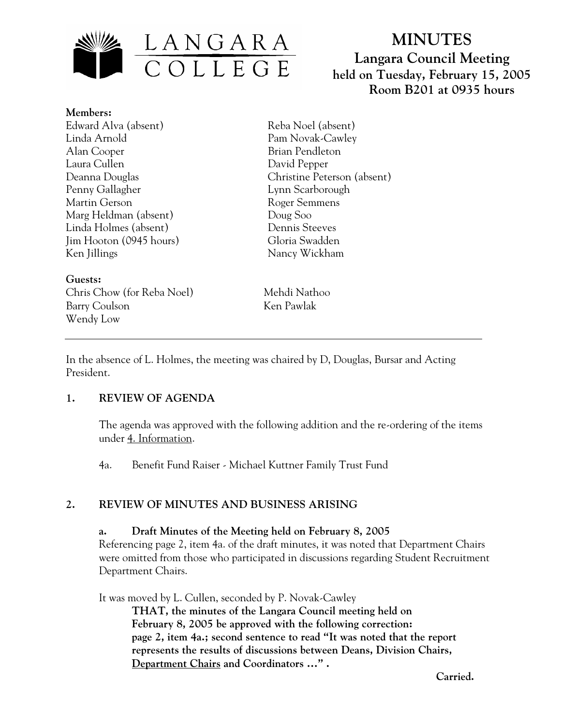

# **MINUTES Langara Council Meeting held on Tuesday, February 15, 2005 Room B201 at 0935 hours**

**Members:** Edward Alva (absent) Linda Arnold Alan Cooper Laura Cullen Deanna Douglas Penny Gallagher Martin Gerson Marg Heldman (absent) Linda Holmes (absent) Jim Hooton (0945 hours) Ken Jillings

**Guests:**  Chris Chow (for Reba Noel) Mehdi Nathoo Barry Coulson Ken Pawlak Wendy Low

Reba Noel (absent) Pam Novak-Cawley Brian Pendleton David Pepper Christine Peterson (absent) Lynn Scarborough Roger Semmens Doug Soo Dennis Steeves Gloria Swadden Nancy Wickham

In the absence of L. Holmes, the meeting was chaired by D, Douglas, Bursar and Acting President.

#### **1. REVIEW OF AGENDA**

The agenda was approved with the following addition and the re-ordering of the items under 4. Information.

4a. Benefit Fund Raiser - Michael Kuttner Family Trust Fund

# **2. REVIEW OF MINUTES AND BUSINESS ARISING**

#### **a. Draft Minutes of the Meeting held on February 8, 2005**

Referencing page 2, item 4a. of the draft minutes, it was noted that Department Chairs were omitted from those who participated in discussions regarding Student Recruitment Department Chairs.

It was moved by L. Cullen, seconded by P. Novak-Cawley **THAT, the minutes of the Langara Council meeting held on February 8, 2005 be approved with the following correction: page 2, item 4a.; second sentence to read "It was noted that the report represents the results of discussions between Deans, Division Chairs, Department Chairs and Coordinators …" .** 

 **Carried.**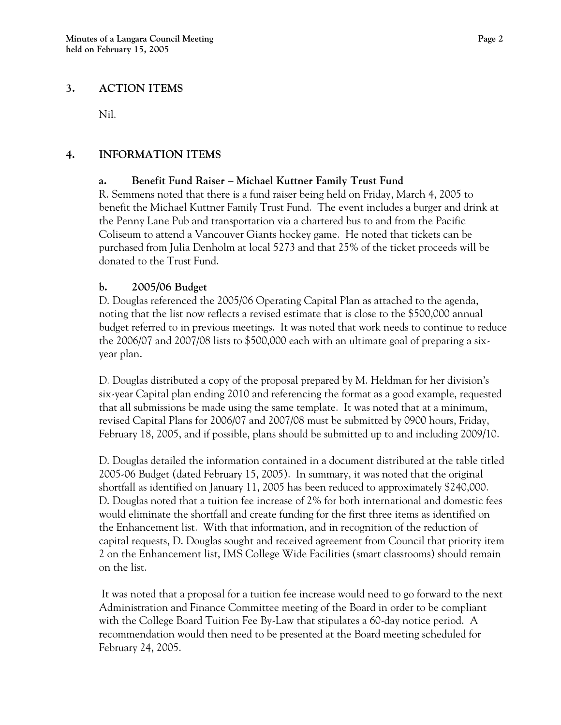#### **3. ACTION ITEMS**

Nil.

# **4. INFORMATION ITEMS**

# **a. Benefit Fund Raiser – Michael Kuttner Family Trust Fund**

R. Semmens noted that there is a fund raiser being held on Friday, March 4, 2005 to benefit the Michael Kuttner Family Trust Fund. The event includes a burger and drink at the Penny Lane Pub and transportation via a chartered bus to and from the Pacific Coliseum to attend a Vancouver Giants hockey game. He noted that tickets can be purchased from Julia Denholm at local 5273 and that 25% of the ticket proceeds will be donated to the Trust Fund.

# **b. 2005/06 Budget**

D. Douglas referenced the 2005/06 Operating Capital Plan as attached to the agenda, noting that the list now reflects a revised estimate that is close to the \$500,000 annual budget referred to in previous meetings. It was noted that work needs to continue to reduce the 2006/07 and 2007/08 lists to \$500,000 each with an ultimate goal of preparing a sixyear plan.

D. Douglas distributed a copy of the proposal prepared by M. Heldman for her division's six-year Capital plan ending 2010 and referencing the format as a good example, requested that all submissions be made using the same template. It was noted that at a minimum, revised Capital Plans for 2006/07 and 2007/08 must be submitted by 0900 hours, Friday, February 18, 2005, and if possible, plans should be submitted up to and including 2009/10.

D. Douglas detailed the information contained in a document distributed at the table titled 2005-06 Budget (dated February 15, 2005). In summary, it was noted that the original shortfall as identified on January 11, 2005 has been reduced to approximately \$240,000. D. Douglas noted that a tuition fee increase of 2% for both international and domestic fees would eliminate the shortfall and create funding for the first three items as identified on the Enhancement list. With that information, and in recognition of the reduction of capital requests, D. Douglas sought and received agreement from Council that priority item 2 on the Enhancement list, IMS College Wide Facilities (smart classrooms) should remain on the list.

 It was noted that a proposal for a tuition fee increase would need to go forward to the next Administration and Finance Committee meeting of the Board in order to be compliant with the College Board Tuition Fee By-Law that stipulates a 60-day notice period. A recommendation would then need to be presented at the Board meeting scheduled for February 24, 2005.